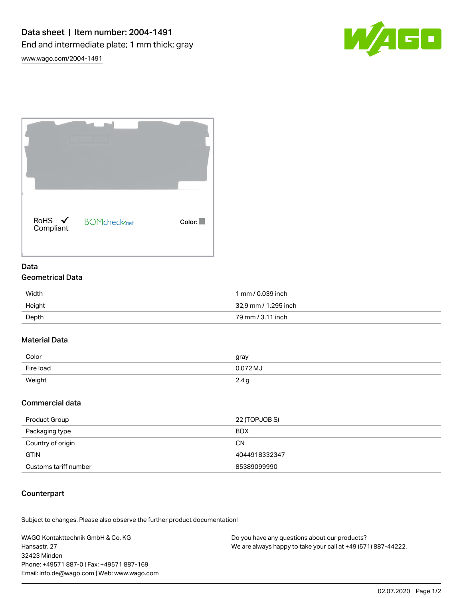

[www.wago.com/2004-1491](http://www.wago.com/2004-1491)



### Data Geometrical Data

| Width  | 1 mm / 0.039 inch    |
|--------|----------------------|
| Height | 32,9 mm / 1.295 inch |
| Depth  | 79 mm / 3.11 inch    |

# Material Data

| Color     | gray     |
|-----------|----------|
| Fire load | 0.072 MJ |
| Weight    | 2.4      |

# Commercial data

| Product Group         | 22 (TOPJOB S) |
|-----------------------|---------------|
| Packaging type        | <b>BOX</b>    |
| Country of origin     | <b>CN</b>     |
| <b>GTIN</b>           | 4044918332347 |
| Customs tariff number | 85389099990   |

# Counterpart

Subject to changes. Please also observe the further product documentation!

WAGO Kontakttechnik GmbH & Co. KG Hansastr. 27 32423 Minden Phone: +49571 887-0 | Fax: +49571 887-169 Email: info.de@wago.com | Web: www.wago.com

Do you have any questions about our products? We are always happy to take your call at +49 (571) 887-44222.